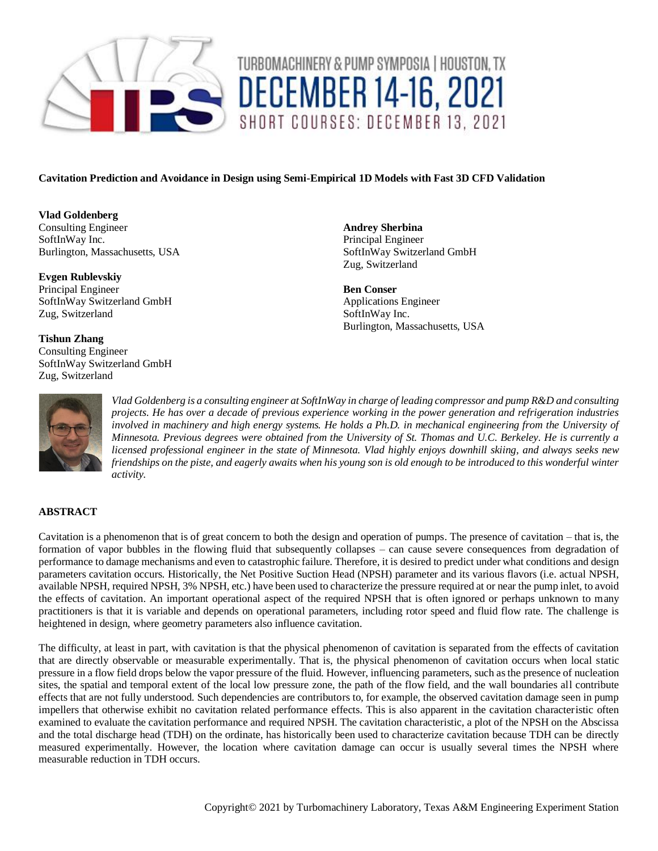

# TURBOMACHINERY & PUMP SYMPOSIA | HOUSTON, TX **DECEMBER 14-16, 2021** SHORT COURSES: DECEMBER 13, 2021

# **Cavitation Prediction and Avoidance in Design using Semi-Empirical 1D Models with Fast 3D CFD Validation**

**Vlad Goldenberg** Consulting Engineer SoftInWay Inc. Burlington, Massachusetts, USA

**Evgen Rublevskiy** Principal Engineer SoftInWay Switzerland GmbH Zug, Switzerland

**Tishun Zhang** Consulting Engineer SoftInWay Switzerland GmbH Zug, Switzerland

**Andrey Sherbina** Principal Engineer SoftInWay Switzerland GmbH Zug, Switzerland

**Ben Conser** Applications Engineer SoftInWay Inc. Burlington, Massachusetts, USA



*Vlad Goldenberg is a consulting engineer at SoftInWay in charge of leading compressor and pump R&D and consulting projects. He has over a decade of previous experience working in the power generation and refrigeration industries involved in machinery and high energy systems. He holds a Ph.D. in mechanical engineering from the University of Minnesota. Previous degrees were obtained from the University of St. Thomas and U.C. Berkeley. He is currently a licensed professional engineer in the state of Minnesota. Vlad highly enjoys downhill skiing, and always seeks new friendships on the piste, and eagerly awaits when his young son is old enough to be introduced to this wonderful winter activity.*

## **ABSTRACT**

Cavitation is a phenomenon that is of great concern to both the design and operation of pumps. The presence of cavitation – that is, the formation of vapor bubbles in the flowing fluid that subsequently collapses – can cause severe consequences from degradation of performance to damage mechanisms and even to catastrophic failure. Therefore, it is desired to predict under what conditions and design parameters cavitation occurs. Historically, the Net Positive Suction Head (NPSH) parameter and its various flavors (i.e. actual NPSH, available NPSH, required NPSH, 3% NPSH, etc.) have been used to characterize the pressure required at or near the pump inlet, to avoid the effects of cavitation. An important operational aspect of the required NPSH that is often ignored or perhaps unknown to many practitioners is that it is variable and depends on operational parameters, including rotor speed and fluid flow rate. The challenge is heightened in design, where geometry parameters also influence cavitation.

The difficulty, at least in part, with cavitation is that the physical phenomenon of cavitation is separated from the effects of cavitation that are directly observable or measurable experimentally. That is, the physical phenomenon of cavitation occurs when local static pressure in a flow field drops below the vapor pressure of the fluid. However, influencing parameters, such as the presence of nucleation sites, the spatial and temporal extent of the local low pressure zone, the path of the flow field, and the wall boundaries all contribute effects that are not fully understood. Such dependencies are contributors to, for example, the observed cavitation damage seen in pump impellers that otherwise exhibit no cavitation related performance effects. This is also apparent in the cavitation characteristic often examined to evaluate the cavitation performance and required NPSH. The cavitation characteristic, a plot of the NPSH on the Abscissa and the total discharge head (TDH) on the ordinate, has historically been used to characterize cavitation because TDH can be directly measured experimentally. However, the location where cavitation damage can occur is usually several times the NPSH where measurable reduction in TDH occurs.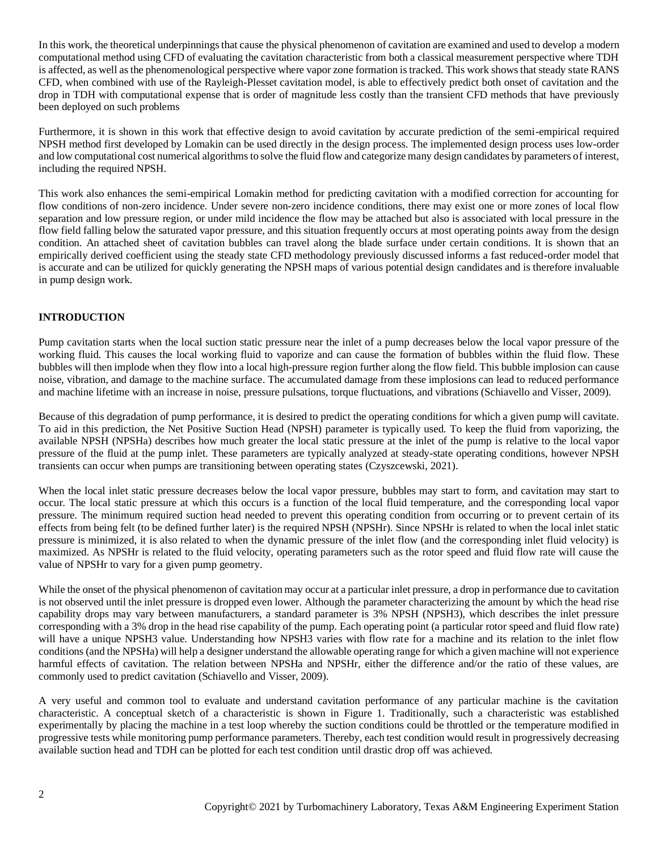In this work, the theoretical underpinnings that cause the physical phenomenon of cavitation are examined and used to develop a modern computational method using CFD of evaluating the cavitation characteristic from both a classical measurement perspective where TDH is affected, as well as the phenomenological perspective where vapor zone formation is tracked. This work shows that steady state RANS CFD, when combined with use of the Rayleigh-Plesset cavitation model, is able to effectively predict both onset of cavitation and the drop in TDH with computational expense that is order of magnitude less costly than the transient CFD methods that have previously been deployed on such problems

Furthermore, it is shown in this work that effective design to avoid cavitation by accurate prediction of the semi-empirical required NPSH method first developed by Lomakin can be used directly in the design process. The implemented design process uses low-order and low computational cost numerical algorithms to solve the fluid flow and categorize many design candidates by parameters of interest, including the required NPSH.

This work also enhances the semi-empirical Lomakin method for predicting cavitation with a modified correction for accounting for flow conditions of non-zero incidence. Under severe non-zero incidence conditions, there may exist one or more zones of local flow separation and low pressure region, or under mild incidence the flow may be attached but also is associated with local pressure in the flow field falling below the saturated vapor pressure, and this situation frequently occurs at most operating points away from the design condition. An attached sheet of cavitation bubbles can travel along the blade surface under certain conditions. It is shown that an empirically derived coefficient using the steady state CFD methodology previously discussed informs a fast reduced-order model that is accurate and can be utilized for quickly generating the NPSH maps of various potential design candidates and is therefore invaluable in pump design work.

## **INTRODUCTION**

Pump cavitation starts when the local suction static pressure near the inlet of a pump decreases below the local vapor pressure of the working fluid. This causes the local working fluid to vaporize and can cause the formation of bubbles within the fluid flow. These bubbles will then implode when they flow into a local high-pressure region further along the flow field. This bubble implosion can cause noise, vibration, and damage to the machine surface. The accumulated damage from these implosions can lead to reduced performance and machine lifetime with an increase in noise, pressure pulsations, torque fluctuations, and vibrations (Schiavello and Visser, 2009).

Because of this degradation of pump performance, it is desired to predict the operating conditions for which a given pump will cavitate. To aid in this prediction, the Net Positive Suction Head (NPSH) parameter is typically used. To keep the fluid from vaporizing, the available NPSH (NPSHa) describes how much greater the local static pressure at the inlet of the pump is relative to the local vapor pressure of the fluid at the pump inlet. These parameters are typically analyzed at steady-state operating conditions, however NPSH transients can occur when pumps are transitioning between operating states (Czyszcewski, 2021).

When the local inlet static pressure decreases below the local vapor pressure, bubbles may start to form, and cavitation may start to occur. The local static pressure at which this occurs is a function of the local fluid temperature, and the corresponding local vapor pressure. The minimum required suction head needed to prevent this operating condition from occurring or to prevent certain of its effects from being felt (to be defined further later) is the required NPSH (NPSHr). Since NPSHr is related to when the local inlet static pressure is minimized, it is also related to when the dynamic pressure of the inlet flow (and the corresponding inlet fluid velocity) is maximized. As NPSHr is related to the fluid velocity, operating parameters such as the rotor speed and fluid flow rate will cause the value of NPSHr to vary for a given pump geometry.

While the onset of the physical phenomenon of cavitation may occur at a particular inlet pressure, a drop in performance due to cavitation is not observed until the inlet pressure is dropped even lower. Although the parameter characterizing the amount by which the head rise capability drops may vary between manufacturers, a standard parameter is 3% NPSH (NPSH3), which describes the inlet pressure corresponding with a 3% drop in the head rise capability of the pump. Each operating point (a particular rotor speed and fluid flow rate) will have a unique NPSH3 value. Understanding how NPSH3 varies with flow rate for a machine and its relation to the inlet flow conditions (and the NPSHa) will help a designer understand the allowable operating range for which a given machine will not experience harmful effects of cavitation. The relation between NPSHa and NPSHr, either the difference and/or the ratio of these values, are commonly used to predict cavitation (Schiavello and Visser, 2009).

A very useful and common tool to evaluate and understand cavitation performance of any particular machine is the cavitation characteristic. A conceptual sketch of a characteristic is shown in [Figure 1.](#page-2-0) Traditionally, such a characteristic was established experimentally by placing the machine in a test loop whereby the suction conditions could be throttled or the temperature modified in progressive tests while monitoring pump performance parameters. Thereby, each test condition would result in progressively decreasing available suction head and TDH can be plotted for each test condition until drastic drop off was achieved.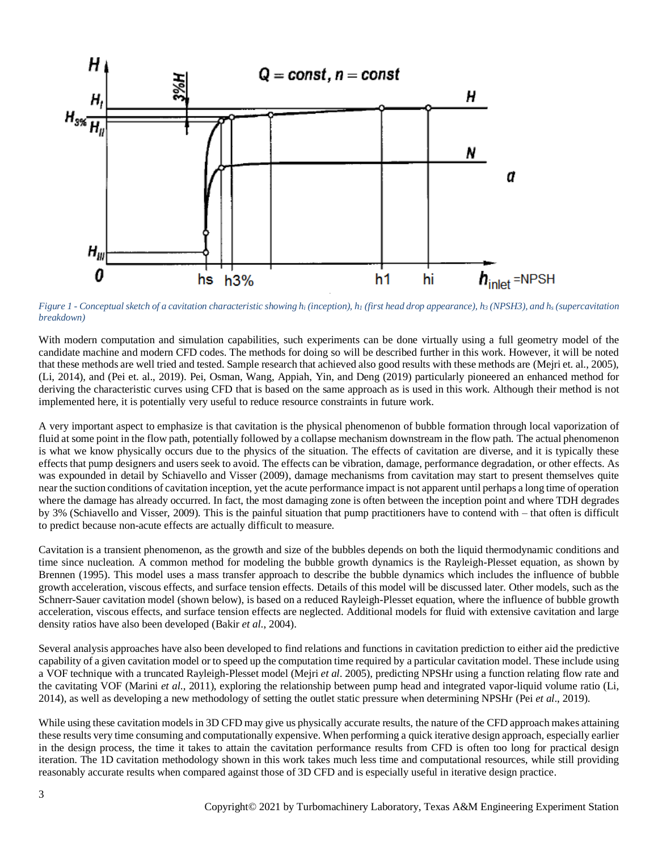

<span id="page-2-0"></span>Figure 1 - Conceptual sketch of a cavitation characteristic showing  $h_i$  (inception),  $h_i$  (first head drop appearance),  $h_i$  (NPSH3), and  $h_s$  (supercavitation *breakdown)*

With modern computation and simulation capabilities, such experiments can be done virtually using a full geometry model of the candidate machine and modern CFD codes. The methods for doing so will be described further in this work. However, it will be noted that these methods are well tried and tested. Sample research that achieved also good results with these methods are (Mejri et. al., 2005), (Li, 2014), and (Pei et. al., 2019). Pei, Osman, Wang, Appiah, Yin, and Deng (2019) particularly pioneered an enhanced method for deriving the characteristic curves using CFD that is based on the same approach as is used in this work. Although their method is not implemented here, it is potentially very useful to reduce resource constraints in future work.

A very important aspect to emphasize is that cavitation is the physical phenomenon of bubble formation through local vaporization of fluid at some point in the flow path, potentially followed by a collapse mechanism downstream in the flow path. The actual phenomenon is what we know physically occurs due to the physics of the situation. The effects of cavitation are diverse, and it is typically these effects that pump designers and users seek to avoid. The effects can be vibration, damage, performance degradation, or other effects. As was expounded in detail by Schiavello and Visser (2009), damage mechanisms from cavitation may start to present themselves quite near the suction conditions of cavitation inception, yet the acute performance impact is not apparent until perhaps a long time of operation where the damage has already occurred. In fact, the most damaging zone is often between the inception point and where TDH degrades by 3% (Schiavello and Visser, 2009). This is the painful situation that pump practitioners have to contend with – that often is difficult to predict because non-acute effects are actually difficult to measure.

Cavitation is a transient phenomenon, as the growth and size of the bubbles depends on both the liquid thermodynamic conditions and time since nucleation. A common method for modeling the bubble growth dynamics is the Rayleigh-Plesset equation, as shown by Brennen (1995). This model uses a mass transfer approach to describe the bubble dynamics which includes the influence of bubble growth acceleration, viscous effects, and surface tension effects. Details of this model will be discussed later. Other models, such as the Schnerr-Sauer cavitation model (shown below), is based on a reduced Rayleigh-Plesset equation, where the influence of bubble growth acceleration, viscous effects, and surface tension effects are neglected. Additional models for fluid with extensive cavitation and large density ratios have also been developed (Bakir *et al*., 2004).

Several analysis approaches have also been developed to find relations and functions in cavitation prediction to either aid the predictive capability of a given cavitation model or to speed up the computation time required by a particular cavitation model. These include using a VOF technique with a truncated Rayleigh-Plesset model (Mejri *et al*. 2005), predicting NPSHr using a function relating flow rate and the cavitating VOF (Marini *et al*., 2011), exploring the relationship between pump head and integrated vapor-liquid volume ratio (Li, 2014), as well as developing a new methodology of setting the outlet static pressure when determining NPSHr (Pei *et al*., 2019).

While using these cavitation models in 3D CFD may give us physically accurate results, the nature of the CFD approach makes attaining these results very time consuming and computationally expensive. When performing a quick iterative design approach, especially earlier in the design process, the time it takes to attain the cavitation performance results from CFD is often too long for practical design iteration. The 1D cavitation methodology shown in this work takes much less time and computational resources, while still providing reasonably accurate results when compared against those of 3D CFD and is especially useful in iterative design practice.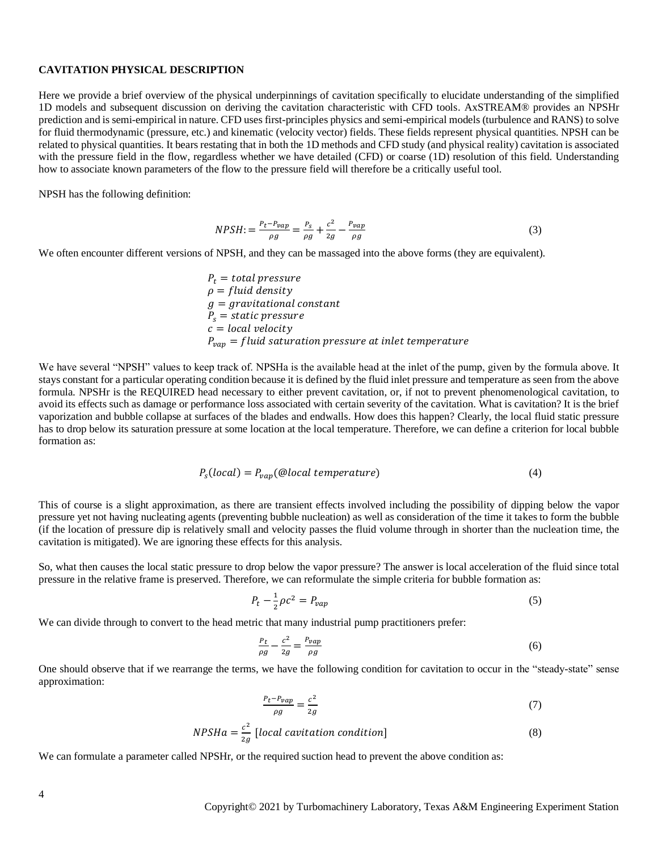## **CAVITATION PHYSICAL DESCRIPTION**

Here we provide a brief overview of the physical underpinnings of cavitation specifically to elucidate understanding of the simplified 1D models and subsequent discussion on deriving the cavitation characteristic with CFD tools. AxSTREAM® provides an NPSHr prediction and is semi-empirical in nature. CFD uses first-principles physics and semi-empirical models (turbulence and RANS) to solve for fluid thermodynamic (pressure, etc.) and kinematic (velocity vector) fields. These fields represent physical quantities. NPSH can be related to physical quantities. It bears restating that in both the 1D methods and CFD study (and physical reality) cavitation is associated with the pressure field in the flow, regardless whether we have detailed (CFD) or coarse (1D) resolution of this field. Understanding how to associate known parameters of the flow to the pressure field will therefore be a critically useful tool.

NPSH has the following definition:

$$
NPSH := \frac{P_t - P_{vap}}{\rho g} = \frac{P_s}{\rho g} + \frac{c^2}{2g} - \frac{P_{vap}}{\rho g}
$$
\n
$$
\tag{3}
$$

We often encounter different versions of NPSH, and they can be massaged into the above forms (they are equivalent).

$$
P_t = total pressure
$$
  
\n
$$
\rho = fluid density
$$
  
\n
$$
g = gravitational constant
$$
  
\n
$$
P_s = static pressure
$$
  
\n
$$
c = local velocity
$$
  
\n
$$
P_{vap} = fluid saturation pressure at inlet temperature
$$

We have several "NPSH" values to keep track of. NPSHa is the available head at the inlet of the pump, given by the formula above. It stays constant for a particular operating condition because it is defined by the fluid inlet pressure and temperature as seen from the above formula. NPSHr is the REQUIRED head necessary to either prevent cavitation, or, if not to prevent phenomenological cavitation, to avoid its effects such as damage or performance loss associated with certain severity of the cavitation. What is cavitation? It is the brief vaporization and bubble collapse at surfaces of the blades and endwalls. How does this happen? Clearly, the local fluid static pressure has to drop below its saturation pressure at some location at the local temperature. Therefore, we can define a criterion for local bubble formation as:

$$
P_s(local) = P_{vap}(\text{Qlocal temperature})\tag{4}
$$

This of course is a slight approximation, as there are transient effects involved including the possibility of dipping below the vapor pressure yet not having nucleating agents (preventing bubble nucleation) as well as consideration of the time it takes to form the bubble (if the location of pressure dip is relatively small and velocity passes the fluid volume through in shorter than the nucleation time, the cavitation is mitigated). We are ignoring these effects for this analysis.

So, what then causes the local static pressure to drop below the vapor pressure? The answer is local acceleration of the fluid since total pressure in the relative frame is preserved. Therefore, we can reformulate the simple criteria for bubble formation as:

$$
P_t - \frac{1}{2}\rho c^2 = P_{vap} \tag{5}
$$

We can divide through to convert to the head metric that many industrial pump practitioners prefer:

$$
\frac{p_t}{\rho g} - \frac{c^2}{2g} = \frac{p_{vap}}{\rho g} \tag{6}
$$

One should observe that if we rearrange the terms, we have the following condition for cavitation to occur in the "steady-state" sense approximation:

$$
\frac{P_t - P_{vap}}{\rho g} = \frac{c^2}{2g} \tag{7}
$$

$$
NPSHa = \frac{c^2}{2g} \left[local\;cavitation\;condition\right]
$$
\n(8)

We can formulate a parameter called NPSHr, or the required suction head to prevent the above condition as: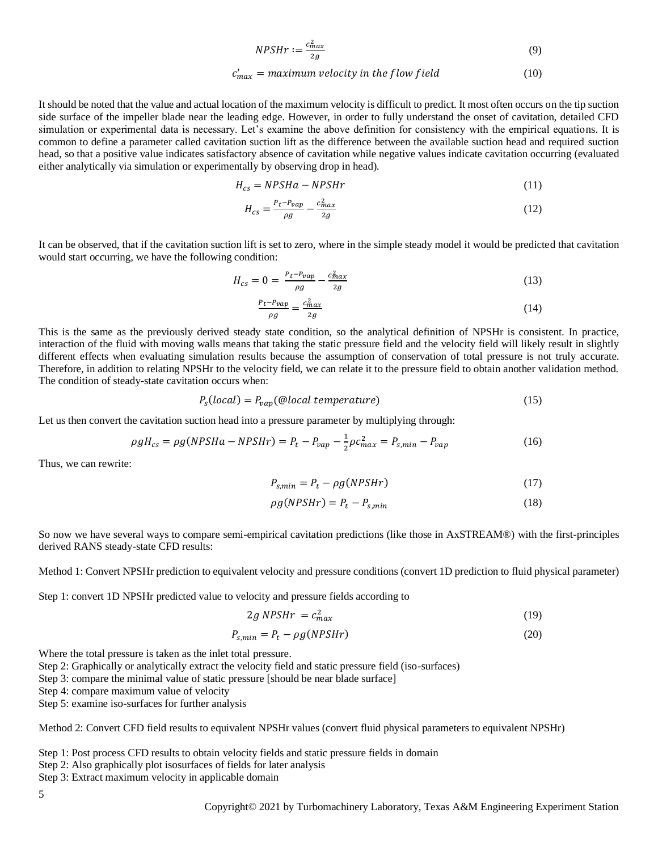$$
NPSHr := \frac{c_{max}^2}{2g} \tag{9}
$$

$$
c'_{max} = maximum velocity in the flow field
$$
 (10)

It should be noted that the value and actual location of the maximum velocity is difficult to predict. It most often occurs on the tip suction side surface of the impeller blade near the leading edge. However, in order to fully understand the onset of cavitation, detailed CFD simulation or experimental data is necessary. Let's examine the above definition for consistency with the empirical equations. It is common to define a parameter called cavitation suction lift as the difference between the available suction head and required suction head, so that a positive value indicates satisfactory absence of cavitation while negative values indicate cavitation occurring (evaluated either analytically via simulation or experimentally by observing drop in head).

$$
H_{cs} = NPSHa - NPSHr \tag{11}
$$

$$
H_{cs} = \frac{P_t - P_{vap}}{\rho g} - \frac{c_{max}^2}{2g} \tag{12}
$$

It can be observed, that if the cavitation suction lift is set to zero, where in the simple steady model it would be predicted that cavitation would start occurring, we have the following condition:

$$
H_{cs} = 0 = \frac{P_t - P_{vap}}{\rho g} - \frac{c_{max}^2}{2g} \tag{13}
$$

$$
\frac{P_t - P_{vap}}{\rho g} = \frac{c_{max}^2}{2g} \tag{14}
$$

This is the same as the previously derived steady state condition, so the analytical definition of NPSHr is consistent. In practice, interaction of the fluid with moving walls means that taking the static pressure field and the velocity field will likely result in slightly different effects when evaluating simulation results because the assumption of conservation of total pressure is not truly accurate. Therefore, in addition to relating NPSHr to the velocity field, we can relate it to the pressure field to obtain another validation method. The condition of steady-state cavitation occurs when:

$$
P_s(local) = P_{vap}(\text{@local temperature})\tag{15}
$$

Let us then convert the cavitation suction head into a pressure parameter by multiplying through:

$$
\rho g H_{cs} = \rho g (NPSHa - NPSHr) = P_t - P_{vap} - \frac{1}{2} \rho c_{max}^2 = P_{s,min} - P_{vap}
$$
\n
$$
(16)
$$

Thus, we can rewrite:

$$
P_{s,min} = P_t - \rho g(NPSHr) \tag{17}
$$

$$
\rho g(NPSHr) = P_t - P_{s,min} \tag{18}
$$

So now we have several ways to compare semi-empirical cavitation predictions (like those in AxSTREAM®) with the first-principles derived RANS steady-state CFD results:

Method 1: Convert NPSHr prediction to equivalent velocity and pressure conditions (convert 1D prediction to fluid physical parameter)

Step 1: convert 1D NPSHr predicted value to velocity and pressure fields according to

$$
2g NPSHr = c_{max}^2 \tag{19}
$$

$$
P_{s,min} = P_t - \rho g(NPSHr)
$$
\n(20)

Where the total pressure is taken as the inlet total pressure.

Step 2: Graphically or analytically extract the velocity field and static pressure field (iso-surfaces)

Step 3: compare the minimal value of static pressure [should be near blade surface]

Step 4: compare maximum value of velocity

Step 5: examine iso-surfaces for further analysis

Method 2: Convert CFD field results to equivalent NPSHr values (convert fluid physical parameters to equivalent NPSHr)

Step 1: Post process CFD results to obtain velocity fields and static pressure fields in domain

Step 2: Also graphically plot isosurfaces of fields for later analysis

Step 3: Extract maximum velocity in applicable domain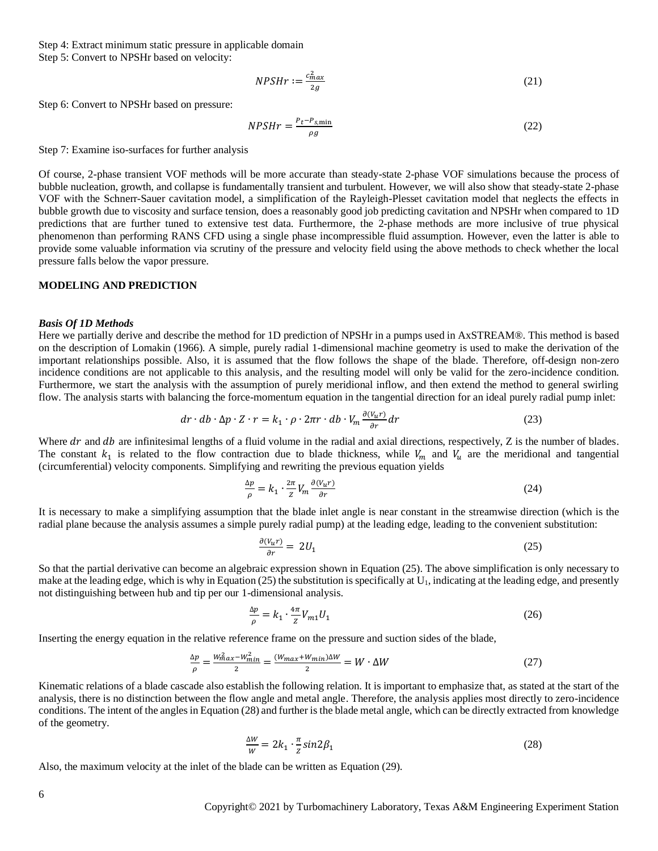Step 4: Extract minimum static pressure in applicable domain Step 5: Convert to NPSHr based on velocity:

$$
NPSHr := \frac{c_{max}^2}{2g} \tag{21}
$$

Step 6: Convert to NPSHr based on pressure:

$$
NPSHr = \frac{P_t - P_{s,\text{min}}}{\rho g} \tag{22}
$$

Step 7: Examine iso-surfaces for further analysis

Of course, 2-phase transient VOF methods will be more accurate than steady-state 2-phase VOF simulations because the process of bubble nucleation, growth, and collapse is fundamentally transient and turbulent. However, we will also show that steady-state 2-phase VOF with the Schnerr-Sauer cavitation model, a simplification of the Rayleigh-Plesset cavitation model that neglects the effects in bubble growth due to viscosity and surface tension, does a reasonably good job predicting cavitation and NPSHr when compared to 1D predictions that are further tuned to extensive test data. Furthermore, the 2-phase methods are more inclusive of true physical phenomenon than performing RANS CFD using a single phase incompressible fluid assumption. However, even the latter is able to provide some valuable information via scrutiny of the pressure and velocity field using the above methods to check whether the local pressure falls below the vapor pressure.

#### **MODELING AND PREDICTION**

#### *Basis Of 1D Methods*

Here we partially derive and describe the method for 1D prediction of NPSHr in a pumps used in AxSTREAM®. This method is based on the description of Lomakin (1966). A simple, purely radial 1-dimensional machine geometry is used to make the derivation of the important relationships possible. Also, it is assumed that the flow follows the shape of the blade. Therefore, off-design non-zero incidence conditions are not applicable to this analysis, and the resulting model will only be valid for the zero-incidence condition. Furthermore, we start the analysis with the assumption of purely meridional inflow, and then extend the method to general swirling flow. The analysis starts with balancing the force-momentum equation in the tangential direction for an ideal purely radial pump inlet:

$$
dr \cdot db \cdot \Delta p \cdot Z \cdot r = k_1 \cdot \rho \cdot 2\pi r \cdot db \cdot V_m \frac{\partial (V_u r)}{\partial r} dr \tag{23}
$$

Where  $dr$  and  $db$  are infinitesimal lengths of a fluid volume in the radial and axial directions, respectively, Z is the number of blades. The constant  $k_1$  is related to the flow contraction due to blade thickness, while  $V_m$  and  $V_u$  are the meridional and tangential (circumferential) velocity components. Simplifying and rewriting the previous equation yields

$$
\frac{\Delta p}{\rho} = k_1 \cdot \frac{2\pi}{z} V_m \frac{\partial (V_u r)}{\partial r} \tag{24}
$$

It is necessary to make a simplifying assumption that the blade inlet angle is near constant in the streamwise direction (which is the radial plane because the analysis assumes a simple purely radial pump) at the leading edge, leading to the convenient substitution:

$$
\frac{\partial (V_u r)}{\partial r} = 2U_1 \tag{25}
$$

So that the partial derivative can become an algebraic expression shown in Equation (25). The above simplification is only necessary to make at the leading edge, which is why in Equation (25) the substitution is specifically at  $U_1$ , indicating at the leading edge, and presently not distinguishing between hub and tip per our 1-dimensional analysis.

$$
\frac{\Delta p}{\rho} = k_1 \cdot \frac{4\pi}{z} V_{m1} U_1 \tag{26}
$$

Inserting the energy equation in the relative reference frame on the pressure and suction sides of the blade,

$$
\frac{\Delta p}{\rho} = \frac{W_{max}^2 - W_{min}^2}{2} = \frac{(W_{max} + W_{min})\Delta W}{2} = W \cdot \Delta W \tag{27}
$$

Kinematic relations of a blade cascade also establish the following relation. It is important to emphasize that, as stated at the start of the analysis, there is no distinction between the flow angle and metal angle. Therefore, the analysis applies most directly to zero-incidence conditions. The intent of the angles in Equation (28) and further is the blade metal angle, which can be directly extracted from knowledge of the geometry.

$$
\frac{\Delta W}{W} = 2k_1 \cdot \frac{\pi}{2} \sin 2\beta_1 \tag{28}
$$

Also, the maximum velocity at the inlet of the blade can be written as Equation (29).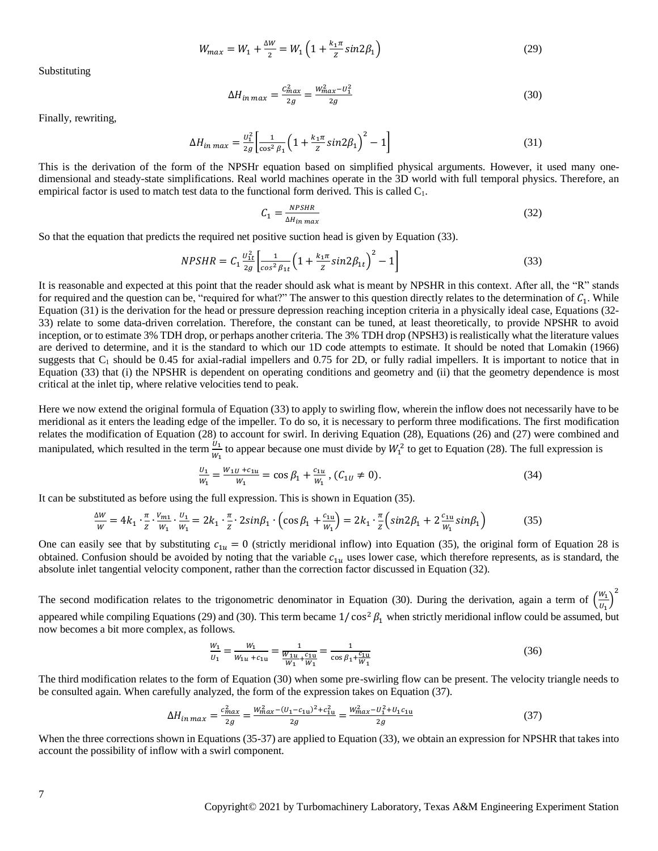$$
W_{max} = W_1 + \frac{\Delta W}{2} = W_1 \left( 1 + \frac{k_1 \pi}{Z} \sin 2\beta_1 \right)
$$
 (29)

Substituting

$$
\Delta H_{in\,max} = \frac{c_{max}^2}{2g} = \frac{W_{max}^2 - U_1^2}{2g} \tag{30}
$$

Finally, rewriting,

$$
\Delta H_{in\,max} = \frac{v_1^2}{2g} \left[ \frac{1}{\cos^2 \beta_1} \left( 1 + \frac{k_1 \pi}{Z} \sin 2\beta_1 \right)^2 - 1 \right] \tag{31}
$$

This is the derivation of the form of the NPSHr equation based on simplified physical arguments. However, it used many onedimensional and steady-state simplifications. Real world machines operate in the 3D world with full temporal physics. Therefore, an empirical factor is used to match test data to the functional form derived. This is called  $C_1$ .

$$
C_1 = \frac{NPSHR}{\Delta H_{in\,max}}\tag{32}
$$

So that the equation that predicts the required net positive suction head is given by Equation (33).

$$
NPSHR = C_1 \frac{v_{1t}^2}{2g} \left[ \frac{1}{\cos^2 \beta_{1t}} \left( 1 + \frac{k_1 \pi}{Z} \sin 2\beta_{1t} \right)^2 - 1 \right]
$$
(33)

It is reasonable and expected at this point that the reader should ask what is meant by NPSHR in this context. After all, the "R" stands for required and the question can be, "required for what?" The answer to this question directly relates to the determination of  $C_1$ . While Equation (31) is the derivation for the head or pressure depression reaching inception criteria in a physically ideal case, Equations (32- 33) relate to some data-driven correlation. Therefore, the constant can be tuned, at least theoretically, to provide NPSHR to avoid inception, or to estimate 3% TDH drop, or perhaps another criteria. The 3% TDH drop (NPSH3) is realistically what the literature values are derived to determine, and it is the standard to which our 1D code attempts to estimate. It should be noted that Lomakin (1966) suggests that  $C_1$  should be 0.45 for axial-radial impellers and 0.75 for 2D, or fully radial impellers. It is important to notice that in Equation (33) that (i) the NPSHR is dependent on operating conditions and geometry and (ii) that the geometry dependence is most critical at the inlet tip, where relative velocities tend to peak.

Here we now extend the original formula of Equation (33) to apply to swirling flow, wherein the inflow does not necessarily have to be meridional as it enters the leading edge of the impeller. To do so, it is necessary to perform three modifications. The first modification relates the modification of Equation (28) to account for swirl. In deriving Equation (28), Equations (26) and (27) were combined and manipulated, which resulted in the term  $\frac{U_1}{W_1}$  to appear because one must divide by  $W_1^2$  to get to Equation (28). The full expression is

$$
\frac{U_1}{W_1} = \frac{W_1 U + c_{11} U}{W_1} = \cos \beta_1 + \frac{c_{11} U}{W_1}, (C_{1U} \neq 0).
$$
\n(34)

It can be substituted as before using the full expression. This is shown in Equation (35).

$$
\frac{\Delta W}{W} = 4k_1 \cdot \frac{\pi}{z} \cdot \frac{v_{m1}}{w_1} \cdot \frac{v_1}{w_1} = 2k_1 \cdot \frac{\pi}{z} \cdot 2\sin\beta_1 \cdot \left(\cos\beta_1 + \frac{c_{1u}}{w_1}\right) = 2k_1 \cdot \frac{\pi}{z} \left(\sin 2\beta_1 + 2\frac{c_{1u}}{w_1}\sin\beta_1\right) \tag{35}
$$

One can easily see that by substituting  $c_{1u} = 0$  (strictly meridional inflow) into Equation (35), the original form of Equation 28 is obtained. Confusion should be avoided by noting that the variable  $c_{1u}$  uses lower case, which therefore represents, as is standard, the absolute inlet tangential velocity component, rather than the correction factor discussed in Equation (32).

The second modification relates to the trigonometric denominator in Equation (30). During the derivation, again a term of  $\left(\frac{W_1}{W_2}\right)$  $\frac{W_1}{U_1}\bigg)^2$ appeared while compiling Equations (29) and (30). This term became  $1/\cos^2 \beta_1$  when strictly meridional inflow could be assumed, but now becomes a bit more complex, as follows.

$$
\frac{W_1}{U_1} = \frac{W_1}{W_{1u} + c_{1u}} = \frac{1}{\frac{W_{1u}}{W_1} + \frac{c_{1u}}{W_1}} = \frac{1}{\cos \beta_1 + \frac{c_{1u}}{W_1}}
$$
(36)

The third modification relates to the form of Equation (30) when some pre-swirling flow can be present. The velocity triangle needs to be consulted again. When carefully analyzed, the form of the expression takes on Equation (37).

$$
\Delta H_{in\,max} = \frac{c_{max}^2}{2g} = \frac{W_{max}^2 - (U_1 - c_{1u})^2 + c_{1u}^2}{2g} = \frac{W_{max}^2 - U_1^2 + U_1 c_{1u}}{2g} \tag{37}
$$

When the three corrections shown in Equations (35-37) are applied to Equation (33), we obtain an expression for NPSHR that takes into account the possibility of inflow with a swirl component.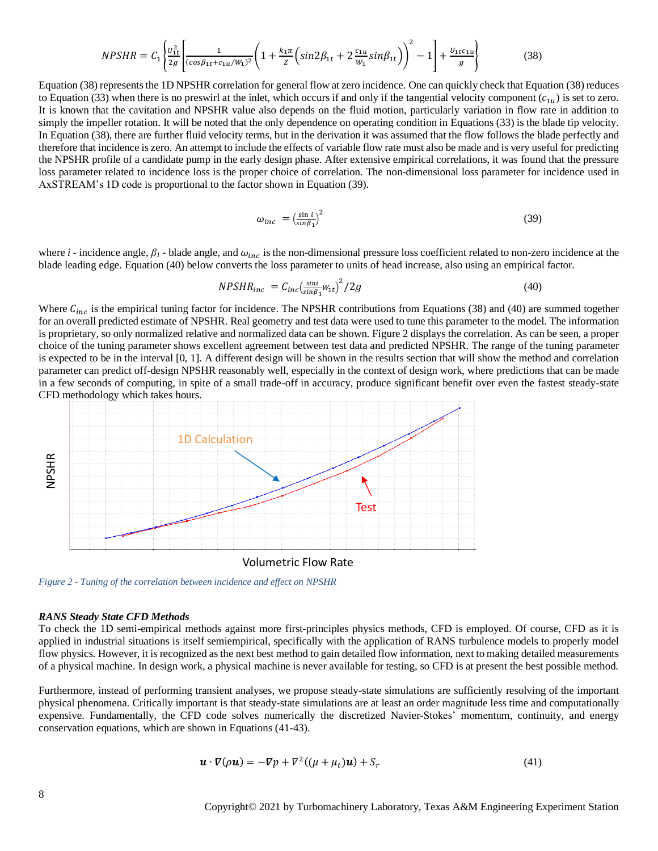$$
NPSHR = C_1 \left\{ \frac{v_{1t}^2}{2g} \left[ \frac{1}{(cos\beta_{1t} + c_{1u}/W_1)^2} \left( 1 + \frac{k_1 \pi}{Z} \left( sin2\beta_{1t} + 2\frac{c_{1u}}{W_1} sin\beta_{1t} \right) \right)^2 - 1 \right] + \frac{v_{1t}c_{1u}}{g} \right\}
$$
(38)

Equation (38) represents the 1D NPSHR correlation for general flow at zero incidence. One can quickly check that Equation (38) reduces to Equation (33) when there is no preswirl at the inlet, which occurs if and only if the tangential velocity component  $(c_{1u})$  is set to zero. It is known that the cavitation and NPSHR value also depends on the fluid motion, particularly variation in flow rate in addition to simply the impeller rotation. It will be noted that the only dependence on operating condition in Equations (33) is the blade tip velocity. In Equation (38), there are further fluid velocity terms, but in the derivation it was assumed that the flow follows the blade perfectly and therefore that incidence is zero. An attempt to include the effects of variable flow rate must also be made and is very useful for predicting the NPSHR profile of a candidate pump in the early design phase. After extensive empirical correlations, it was found that the pressure loss parameter related to incidence loss is the proper choice of correlation. The non-dimensional loss parameter for incidence used in AxSTREAM's 1D code is proportional to the factor shown in Equation (39).

$$
\omega_{inc} = \left(\frac{\sin i}{\sin \beta_1}\right)^2 \tag{39}
$$

where  $i$  - incidence angle,  $\beta_l$  - blade angle, and  $\omega_{inc}$  is the non-dimensional pressure loss coefficient related to non-zero incidence at the blade leading edge. Equation (40) below converts the loss parameter to units of head increase, also using an empirical factor.

$$
NPSHR_{inc} = C_{inc} \left(\frac{\sin i}{\sin \beta_1} w_{1t}\right)^2 / 2g \tag{40}
$$

Where  $C_{inc}$  is the empirical tuning factor for incidence. The NPSHR contributions from Equations (38) and (40) are summed together for an overall predicted estimate of NPSHR. Real geometry and test data were used to tune this parameter to the model. The information is proprietary, so only normalized relative and normalized data can be shown. [Figure 2](#page-7-0) displays the correlation. As can be seen, a proper choice of the tuning parameter shows excellent agreement between test data and predicted NPSHR. The range of the tuning parameter is expected to be in the interval [0, 1]. A different design will be shown in the results section that will show the method and correlation parameter can predict off-design NPSHR reasonably well, especially in the context of design work, where predictions that can be made in a few seconds of computing, in spite of a small trade-off in accuracy, produce significant benefit over even the fastest steady-state CFD methodology which takes hours.



<span id="page-7-0"></span>*Figure 2 - Tuning of the correlation between incidence and effect on NPSHR*

#### *RANS Steady State CFD Methods*

To check the 1D semi-empirical methods against more first-principles physics methods, CFD is employed. Of course, CFD as it is applied in industrial situations is itself semiempirical, specifically with the application of RANS turbulence models to properly model flow physics. However, it is recognized as the next best method to gain detailed flow information, next to making detailed measurements of a physical machine. In design work, a physical machine is never available for testing, so CFD is at present the best possible method.

Furthermore, instead of performing transient analyses, we propose steady-state simulations are sufficiently resolving of the important physical phenomena. Critically important is that steady-state simulations are at least an order magnitude less time and computationally expensive. Fundamentally, the CFD code solves numerically the discretized Navier-Stokes' momentum, continuity, and energy conservation equations, which are shown in Equations (41-43).

$$
\mathbf{u} \cdot \nabla(\rho \mathbf{u}) = -\nabla p + \nabla^2 ((\mu + \mu_t) \mathbf{u}) + S_r \tag{41}
$$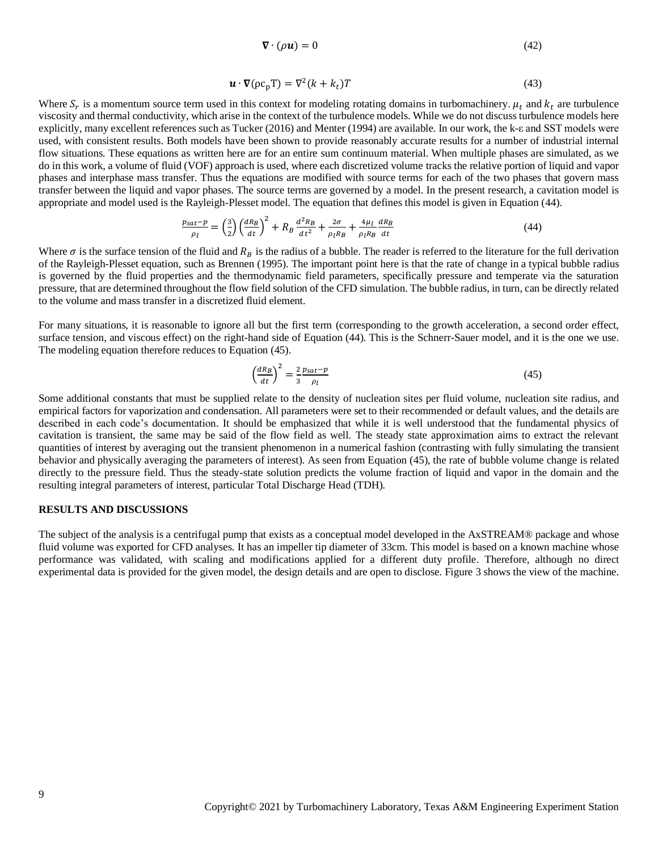$$
\nabla \cdot (\rho \mathbf{u}) = 0 \tag{42}
$$

$$
\mathbf{u} \cdot \nabla (\rho c_p \mathbf{T}) = \nabla^2 (k + k_t) \mathbf{T} \tag{43}
$$

Where  $S_r$  is a momentum source term used in this context for modeling rotating domains in turbomachinery.  $\mu_t$  and  $k_t$  are turbulence viscosity and thermal conductivity, which arise in the context of the turbulence models. While we do not discuss turbulence models here explicitly, many excellent references such as Tucker (2016) and Menter (1994) are available. In our work, the k-ε and SST models were used, with consistent results. Both models have been shown to provide reasonably accurate results for a number of industrial internal flow situations. These equations as written here are for an entire sum continuum material. When multiple phases are simulated, as we do in this work, a volume of fluid (VOF) approach is used, where each discretized volume tracks the relative portion of liquid and vapor phases and interphase mass transfer. Thus the equations are modified with source terms for each of the two phases that govern mass transfer between the liquid and vapor phases. The source terms are governed by a model. In the present research, a cavitation model is appropriate and model used is the Rayleigh-Plesset model. The equation that defines this model is given in Equation (44).

$$
\frac{p_{sat} - p}{\rho_l} = \left(\frac{3}{2}\right) \left(\frac{dR_B}{dt}\right)^2 + R_B \frac{d^2 R_B}{dt^2} + \frac{2\sigma}{\rho_l R_B} + \frac{4\mu_l}{\rho_l R_B} \frac{dR_B}{dt}
$$
(44)

Where  $\sigma$  is the surface tension of the fluid and  $R_R$  is the radius of a bubble. The reader is referred to the literature for the full derivation of the Rayleigh-Plesset equation, such as Brennen (1995). The important point here is that the rate of change in a typical bubble radius is governed by the fluid properties and the thermodynamic field parameters, specifically pressure and temperate via the saturation pressure, that are determined throughout the flow field solution of the CFD simulation. The bubble radius, in turn, can be directly related to the volume and mass transfer in a discretized fluid element.

For many situations, it is reasonable to ignore all but the first term (corresponding to the growth acceleration, a second order effect, surface tension, and viscous effect) on the right-hand side of Equation (44). This is the Schnerr-Sauer model, and it is the one we use. The modeling equation therefore reduces to Equation (45).

$$
\left(\frac{dR_B}{dt}\right)^2 = \frac{2}{3} \frac{p_{sat} - p}{\rho_l} \tag{45}
$$

Some additional constants that must be supplied relate to the density of nucleation sites per fluid volume, nucleation site radius, and empirical factors for vaporization and condensation. All parameters were set to their recommended or default values, and the details are described in each code's documentation. It should be emphasized that while it is well understood that the fundamental physics of cavitation is transient, the same may be said of the flow field as well. The steady state approximation aims to extract the relevant quantities of interest by averaging out the transient phenomenon in a numerical fashion (contrasting with fully simulating the transient behavior and physically averaging the parameters of interest). As seen from Equation (45), the rate of bubble volume change is related directly to the pressure field. Thus the steady-state solution predicts the volume fraction of liquid and vapor in the domain and the resulting integral parameters of interest, particular Total Discharge Head (TDH).

#### **RESULTS AND DISCUSSIONS**

The subject of the analysis is a centrifugal pump that exists as a conceptual model developed in the AxSTREAM® package and whose fluid volume was exported for CFD analyses. It has an impeller tip diameter of 33cm. This model is based on a known machine whose performance was validated, with scaling and modifications applied for a different duty profile. Therefore, although no direct experimental data is provided for the given model, the design details and are open to disclose[. Figure 3](#page-9-0) shows the view of the machine.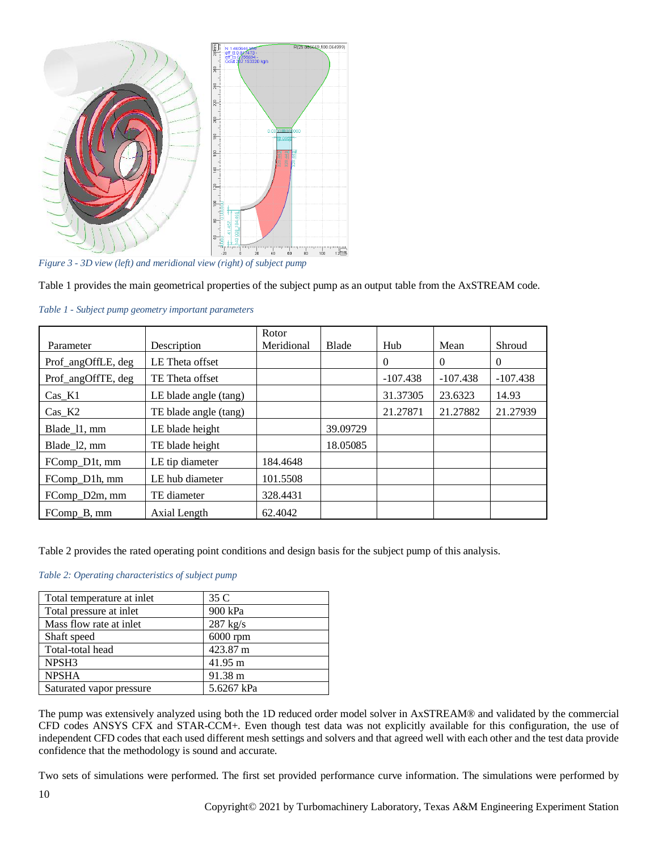

<span id="page-9-0"></span>*Figure 3 - 3D view (left) and meridional view (right) of subject pump*

[Table 1](#page-9-1) provides the main geometrical properties of the subject pump as an output table from the AxSTREAM code.

<span id="page-9-1"></span>

| Table 1 - Subject pump geometry important parameters |
|------------------------------------------------------|
|                                                      |

|                    |                       | Rotor      |              |            |            |            |
|--------------------|-----------------------|------------|--------------|------------|------------|------------|
| Parameter          | Description           | Meridional | <b>Blade</b> | Hub        | Mean       | Shroud     |
| Prof_angOffLE, deg | LE Theta offset       |            |              | $\Omega$   | $\Omega$   | $\theta$   |
| Prof_angOffTE, deg | TE Theta offset       |            |              | $-107.438$ | $-107.438$ | $-107.438$ |
| $Cas_K1$           | LE blade angle (tang) |            |              | 31.37305   | 23.6323    | 14.93      |
| $Cas_K2$           | TE blade angle (tang) |            |              | 21.27871   | 21.27882   | 21.27939   |
| Blade 11, mm       | LE blade height       |            | 39.09729     |            |            |            |
| Blade_l2, mm       | TE blade height       |            | 18.05085     |            |            |            |
| FComp D1t, mm      | LE tip diameter       | 184.4648   |              |            |            |            |
| FComp_D1h, mm      | LE hub diameter       | 101.5508   |              |            |            |            |
| FComp_D2m, mm      | TE diameter           | 328.4431   |              |            |            |            |
| FComp B, mm        | Axial Length          | 62.4042    |              |            |            |            |

[Table 2](#page-9-2) provides the rated operating point conditions and design basis for the subject pump of this analysis.

#### <span id="page-9-2"></span>*Table 2: Operating characteristics of subject pump*

| Total temperature at inlet | 35 C               |
|----------------------------|--------------------|
| Total pressure at inlet    | 900 kPa            |
| Mass flow rate at inlet    | $287 \text{ kg/s}$ |
| Shaft speed                | $6000$ rpm         |
| Total-total head           | 423.87 m           |
| NPSH3                      | 41.95 m            |
| <b>NPSHA</b>               | 91.38 m            |
| Saturated vapor pressure   | 5.6267 kPa         |

The pump was extensively analyzed using both the 1D reduced order model solver in AxSTREAM® and validated by the commercial CFD codes ANSYS CFX and STAR-CCM+. Even though test data was not explicitly available for this configuration, the use of independent CFD codes that each used different mesh settings and solvers and that agreed well with each other and the test data provide confidence that the methodology is sound and accurate.

Two sets of simulations were performed. The first set provided performance curve information. The simulations were performed by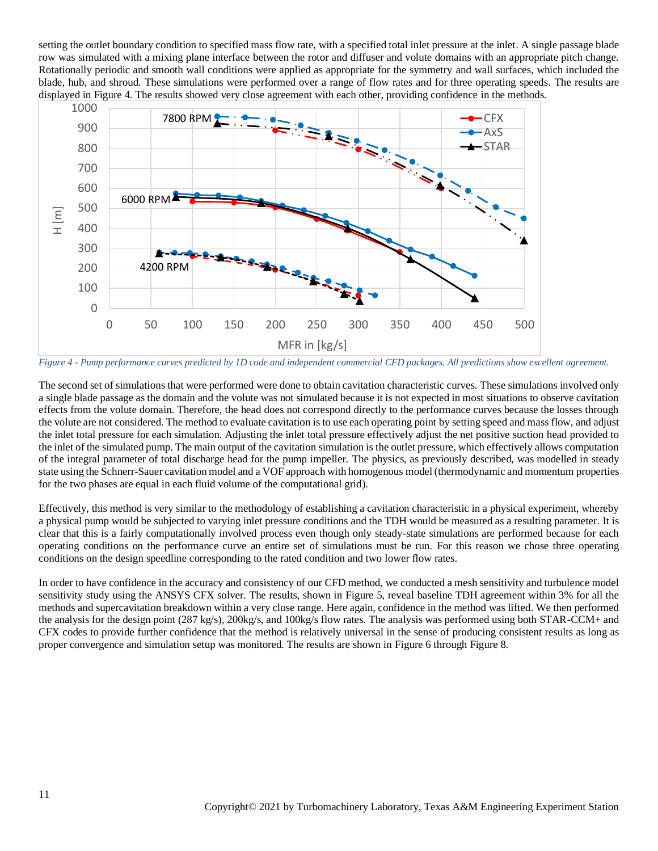setting the outlet boundary condition to specified mass flow rate, with a specified total inlet pressure at the inlet. A single passage blade row was simulated with a mixing plane interface between the rotor and diffuser and volute domains with an appropriate pitch change. Rotationally periodic and smooth wall conditions were applied as appropriate for the symmetry and wall surfaces, which included the blade, hub, and shroud. These simulations were performed over a range of flow rates and for three operating speeds. The results are displayed in [Figure 4.](#page-10-0) The results showed very close agreement with each other, providing confidence in the methods.



<span id="page-10-0"></span>*Figure 4 - Pump performance curves predicted by 1D code and independent commercial CFD packages. All predictions show excellent agreement.*

The second set of simulations that were performed were done to obtain cavitation characteristic curves. These simulations involved only a single blade passage as the domain and the volute was not simulated because it is not expected in most situations to observe cavitation effects from the volute domain. Therefore, the head does not correspond directly to the performance curves because the losses through the volute are not considered. The method to evaluate cavitation is to use each operating point by setting speed and mass flow, and adjust the inlet total pressure for each simulation. Adjusting the inlet total pressure effectively adjust the net positive suction head provided to the inlet of the simulated pump. The main output of the cavitation simulation is the outlet pressure, which effectively allows computation of the integral parameter of total discharge head for the pump impeller. The physics, as previously described, was modelled in steady state using the Schnerr-Sauer cavitation model and a VOF approach with homogenous model (thermodynamic and momentum properties for the two phases are equal in each fluid volume of the computational grid).

Effectively, this method is very similar to the methodology of establishing a cavitation characteristic in a physical experiment, whereby a physical pump would be subjected to varying inlet pressure conditions and the TDH would be measured as a resulting parameter. It is clear that this is a fairly computationally involved process even though only steady-state simulations are performed because for each operating conditions on the performance curve an entire set of simulations must be run. For this reason we chose three operating conditions on the design speedline corresponding to the rated condition and two lower flow rates.

In order to have confidence in the accuracy and consistency of our CFD method, we conducted a mesh sensitivity and turbulence model sensitivity study using the ANSYS CFX solver. The results, shown in [Figure 5,](#page-11-0) reveal baseline TDH agreement within 3% for all the methods and supercavitation breakdown within a very close range. Here again, confidence in the method was lifted. We then performed the analysis for the design point (287 kg/s), 200kg/s, and 100kg/s flow rates. The analysis was performed using both STAR-CCM+ and CFX codes to provide further confidence that the method is relatively universal in the sense of producing consistent results as long as proper convergence and simulation setup was monitored. The results are shown in [Figure 6](#page-11-1) through [Figure 8.](#page-12-0)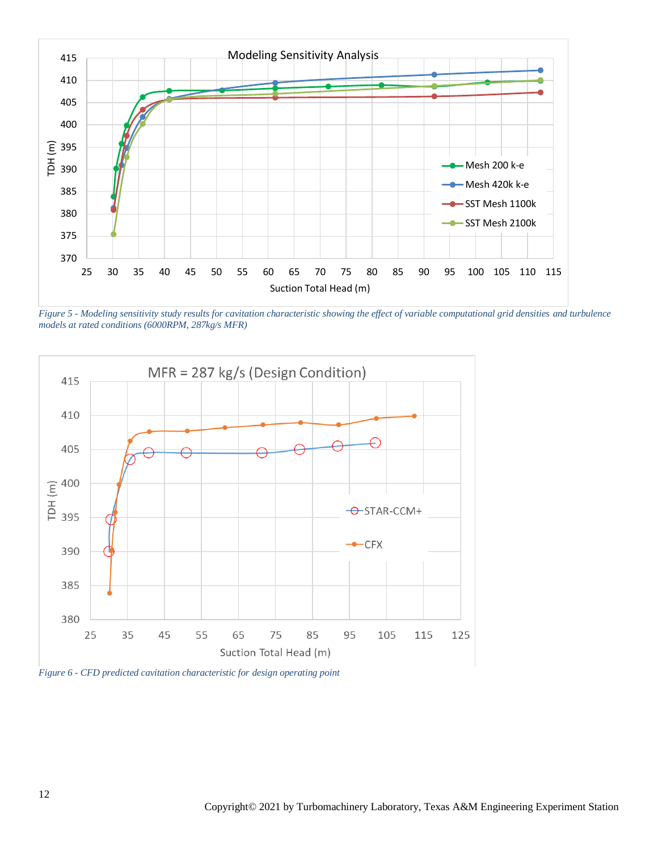

<span id="page-11-0"></span>*Figure 5 - Modeling sensitivity study results for cavitation characteristic showing the effect of variable computational grid densities and turbulence models at rated conditions (6000RPM, 287kg/s MFR)*



<span id="page-11-1"></span>*Figure 6 - CFD predicted cavitation characteristic for design operating point*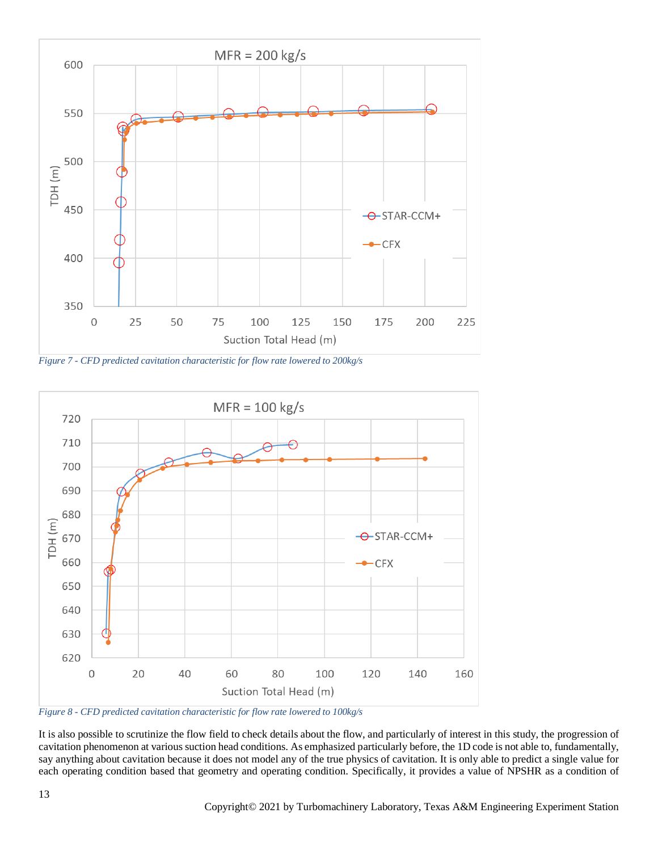

*Figure 7 - CFD predicted cavitation characteristic for flow rate lowered to 200kg/s*



<span id="page-12-0"></span>*Figure 8 - CFD predicted cavitation characteristic for flow rate lowered to 100kg/s*

It is also possible to scrutinize the flow field to check details about the flow, and particularly of interest in this study, the progression of cavitation phenomenon at various suction head conditions. As emphasized particularly before, the 1D code is not able to, fundamentally, say anything about cavitation because it does not model any of the true physics of cavitation. It is only able to predict a single value for each operating condition based that geometry and operating condition. Specifically, it provides a value of NPSHR as a condition of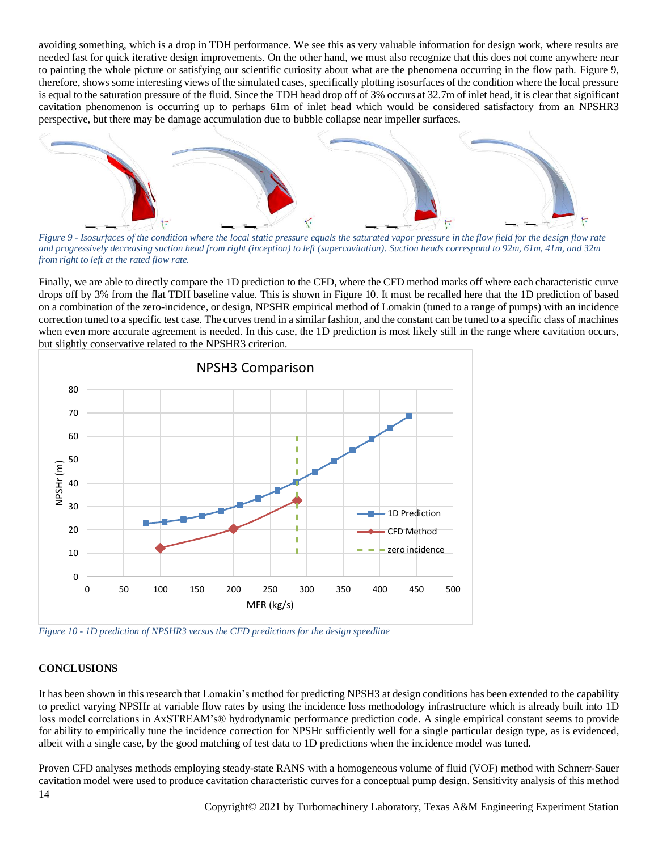avoiding something, which is a drop in TDH performance. We see this as very valuable information for design work, where results are needed fast for quick iterative design improvements. On the other hand, we must also recognize that this does not come anywhere near to painting the whole picture or satisfying our scientific curiosity about what are the phenomena occurring in the flow path. [Figure 9,](#page-13-0) therefore, shows some interesting views of the simulated cases, specifically plotting isosurfaces of the condition where the local pressure is equal to the saturation pressure of the fluid. Since the TDH head drop off of 3% occurs at 32.7m of inlet head, it is clear that significant cavitation phenomenon is occurring up to perhaps 61m of inlet head which would be considered satisfactory from an NPSHR3 perspective, but there may be damage accumulation due to bubble collapse near impeller surfaces.



<span id="page-13-0"></span>*Figure 9 - Isosurfaces of the condition where the local static pressure equals the saturated vapor pressure in the flow field for the design flow rate and progressively decreasing suction head from right (inception) to left (supercavitation). Suction heads correspond to 92m, 61m, 41m, and 32m from right to left at the rated flow rate.*

Finally, we are able to directly compare the 1D prediction to the CFD, where the CFD method marks off where each characteristic curve drops off by 3% from the flat TDH baseline value. This is shown in [Figure 10.](#page-13-1) It must be recalled here that the 1D prediction of based on a combination of the zero-incidence, or design, NPSHR empirical method of Lomakin (tuned to a range of pumps) with an incidence correction tuned to a specific test case. The curves trend in a similar fashion, and the constant can be tuned to a specific class of machines when even more accurate agreement is needed. In this case, the 1D prediction is most likely still in the range where cavitation occurs, but slightly conservative related to the NPSHR3 criterion.



<span id="page-13-1"></span>*Figure 10 - 1D prediction of NPSHR3 versus the CFD predictions for the design speedline*

## **CONCLUSIONS**

It has been shown in this research that Lomakin's method for predicting NPSH3 at design conditions has been extended to the capability to predict varying NPSHr at variable flow rates by using the incidence loss methodology infrastructure which is already built into 1D loss model correlations in AxSTREAM's® hydrodynamic performance prediction code. A single empirical constant seems to provide for ability to empirically tune the incidence correction for NPSHr sufficiently well for a single particular design type, as is evidenced, albeit with a single case, by the good matching of test data to 1D predictions when the incidence model was tuned.

14 Proven CFD analyses methods employing steady-state RANS with a homogeneous volume of fluid (VOF) method with Schnerr-Sauer cavitation model were used to produce cavitation characteristic curves for a conceptual pump design. Sensitivity analysis of this method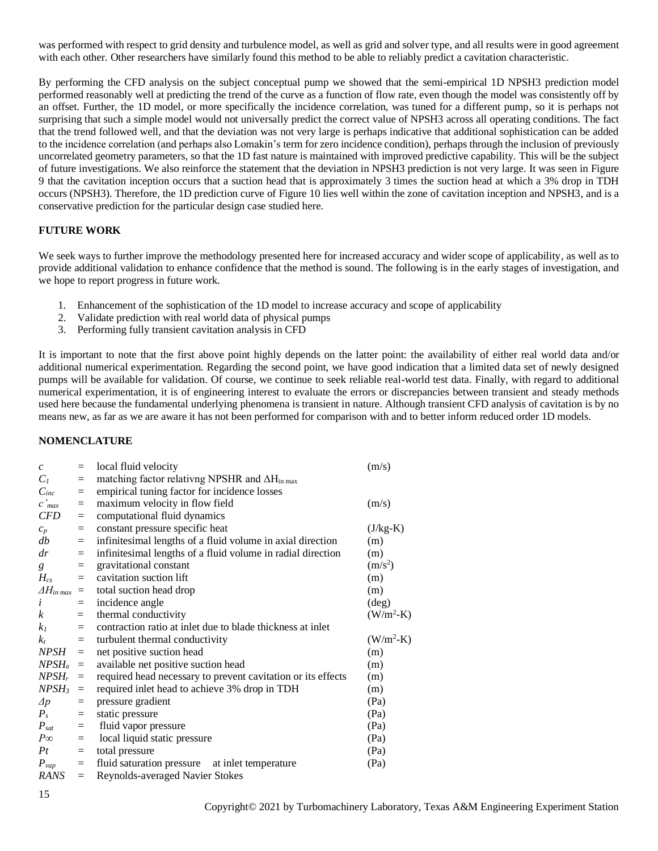was performed with respect to grid density and turbulence model, as well as grid and solver type, and all results were in good agreement with each other. Other researchers have similarly found this method to be able to reliably predict a cavitation characteristic.

By performing the CFD analysis on the subject conceptual pump we showed that the semi-empirical 1D NPSH3 prediction model performed reasonably well at predicting the trend of the curve as a function of flow rate, even though the model was consistently off by an offset. Further, the 1D model, or more specifically the incidence correlation, was tuned for a different pump, so it is perhaps not surprising that such a simple model would not universally predict the correct value of NPSH3 across all operating conditions. The fact that the trend followed well, and that the deviation was not very large is perhaps indicative that additional sophistication can be added to the incidence correlation (and perhaps also Lomakin's term for zero incidence condition), perhaps through the inclusion of previously uncorrelated geometry parameters, so that the 1D fast nature is maintained with improved predictive capability. This will be the subject of future investigations. We also reinforce the statement that the deviation in NPSH3 prediction is not very large. It was seen in [Figure](#page-13-0)  [9](#page-13-0) that the cavitation inception occurs that a suction head that is approximately 3 times the suction head at which a 3% drop in TDH occurs (NPSH3). Therefore, the 1D prediction curve of [Figure 10](#page-13-1) lies well within the zone of cavitation inception and NPSH3, and is a conservative prediction for the particular design case studied here.

## **FUTURE WORK**

We seek ways to further improve the methodology presented here for increased accuracy and wider scope of applicability, as well as to provide additional validation to enhance confidence that the method is sound. The following is in the early stages of investigation, and we hope to report progress in future work.

- 1. Enhancement of the sophistication of the 1D model to increase accuracy and scope of applicability
- 2. Validate prediction with real world data of physical pumps
- 3. Performing fully transient cavitation analysis in CFD

It is important to note that the first above point highly depends on the latter point: the availability of either real world data and/or additional numerical experimentation. Regarding the second point, we have good indication that a limited data set of newly designed pumps will be available for validation. Of course, we continue to seek reliable real-world test data. Finally, with regard to additional numerical experimentation, it is of engineering interest to evaluate the errors or discrepancies between transient and steady methods used here because the fundamental underlying phenomena is transient in nature. Although transient CFD analysis of cavitation is by no means new, as far as we are aware it has not been performed for comparison with and to better inform reduced order 1D models.

## **NOMENCLATURE**

| $\mathcal{C}$           | $=$                     | local fluid velocity                                                    | (m/s)          |
|-------------------------|-------------------------|-------------------------------------------------------------------------|----------------|
| $C_I$                   | $\qquad \qquad =\qquad$ | matching factor relativing NPSHR and $\Delta H_{\text{in max}}$         |                |
| $C_{inc}$               | $\qquad \qquad =\qquad$ | empirical tuning factor for incidence losses                            |                |
| $c'$ <sub>max</sub>     | $=$                     | maximum velocity in flow field                                          | (m/s)          |
| <b>CFD</b>              | $=$                     | computational fluid dynamics                                            |                |
| $c_p$                   | $\equiv$                | constant pressure specific heat                                         | $(J/kg-K)$     |
| db                      | $=$                     | infinitesimal lengths of a fluid volume in axial direction              | (m)            |
| dr                      | $=$                     | infinitesimal lengths of a fluid volume in radial direction             | (m)            |
| $g_{-}$                 | $=$                     | gravitational constant                                                  | $(m/s^2)$      |
| $H_{cs}$                | $=$                     | cavitation suction lift                                                 | (m)            |
| $\Delta H_{in\, max}$ = |                         | total suction head drop                                                 | (m)            |
| $\boldsymbol{i}$        | $=$                     | incidence angle                                                         | $(\text{deg})$ |
| $\boldsymbol{k}$        | $=$                     | thermal conductivity                                                    | $(W/m^2-K)$    |
| k <sub>I</sub>          | $=$                     | contraction ratio at inlet due to blade thickness at inlet              |                |
| $k_{t}$                 | $=$                     | turbulent thermal conductivity                                          | $(W/m^2-K)$    |
| $NPSH =$                |                         | net positive suction head                                               | (m)            |
| $NPSH_a =$              |                         | available net positive suction head                                     | (m)            |
|                         |                         | $NPSH_r$ = required head necessary to prevent cavitation or its effects | (m)            |
| $NPSH_3 =$              |                         | required inlet head to achieve 3% drop in TDH                           | (m)            |
| $\varDelta p$           | $=$                     | pressure gradient                                                       | (Pa)           |
| $P_{s}$                 | $=$                     | static pressure                                                         | (Pa)           |
| $P_{sat}$               | $=$                     | fluid vapor pressure                                                    | (Pa)           |
| $P\infty$               | $=$                     | local liquid static pressure                                            | (Pa)           |
| Pt                      | $=$                     | total pressure                                                          | (Pa)           |
| $P_{vap}$               | $=$                     | fluid saturation pressure at inlet temperature                          | (Pa)           |
| RANS                    | $=$                     | <b>Reynolds-averaged Navier Stokes</b>                                  |                |